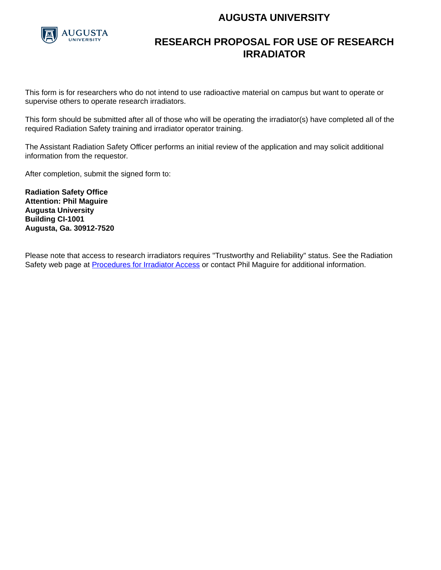## **AUGUSTA UNIVERSITY**



## **RESEARCH PROPOSAL FOR USE OF RESEARCH IRRADIATOR**

This form is for researchers who do not intend to use radioactive material on campus but want to operate or supervise others to operate research irradiators.

This form should be submitted after all of those who will be operating the irradiator(s) have completed all of the required Radiation Safety training and irradiator operator training.

The Assistant Radiation Safety Officer performs an initial review of the application and may solicit additional information from the requestor.

After completion, submit the signed form to:

**Radiation Safety Office Attention: Phil Maguire Augusta University Building CI-1001 Augusta, Ga. 30912-7520** 

Please note that access to research irradiators requires "Trustworthy and Reliability" status. See the Radiation Safety web page at [Procedures for Irradiator Access](http://www.augusta.edu/services/ehs/radsafe/documents/proc-irrad-access1.pdf) or contact Phil Maguire for additional information.